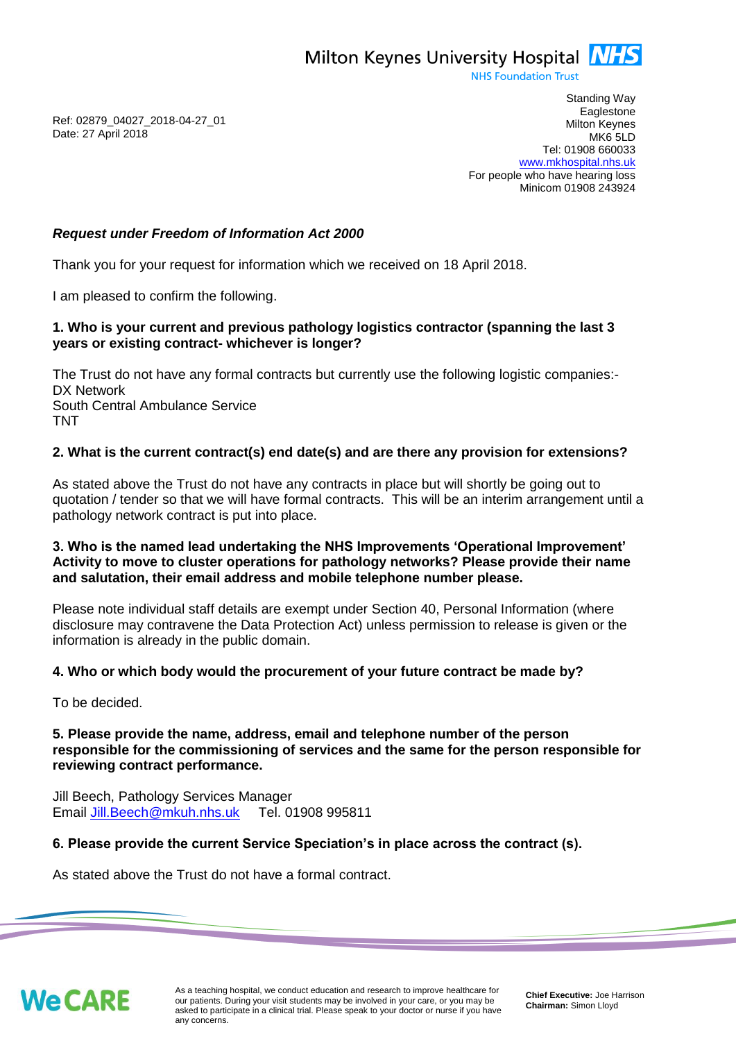Milton Keynes University Hospital **NHS** 

**NHS Foundation Trust** 

Ref: 02879\_04027\_2018-04-27\_01 Date: 27 April 2018

Standing Way **Eaglestone** Milton Keynes MK6 5LD Tel: 01908 660033 [www.mkhospital.nhs.uk](http://www.mkhospital.nhs.uk/) For people who have hearing loss Minicom 01908 243924

## *Request under Freedom of Information Act 2000*

Thank you for your request for information which we received on 18 April 2018.

I am pleased to confirm the following.

### **1. Who is your current and previous pathology logistics contractor (spanning the last 3 years or existing contract- whichever is longer?**

The Trust do not have any formal contracts but currently use the following logistic companies:- DX Network South Central Ambulance Service TNT

# **2. What is the current contract(s) end date(s) and are there any provision for extensions?**

As stated above the Trust do not have any contracts in place but will shortly be going out to quotation / tender so that we will have formal contracts. This will be an interim arrangement until a pathology network contract is put into place.

### **3. Who is the named lead undertaking the NHS Improvements 'Operational Improvement' Activity to move to cluster operations for pathology networks? Please provide their name and salutation, their email address and mobile telephone number please.**

Please note individual staff details are exempt under Section 40, Personal Information (where disclosure may contravene the Data Protection Act) unless permission to release is given or the information is already in the public domain.

### **4. Who or which body would the procurement of your future contract be made by?**

To be decided.

### **5. Please provide the name, address, email and telephone number of the person responsible for the commissioning of services and the same for the person responsible for reviewing contract performance.**

Jill Beech, Pathology Services Manager Email [Jill.Beech@mkuh.nhs.uk](mailto:Jill.Beech@mkuh.nhs.uk) Tel. 01908 995811

### **6. Please provide the current Service Speciation's in place across the contract (s).**

As stated above the Trust do not have a formal contract.